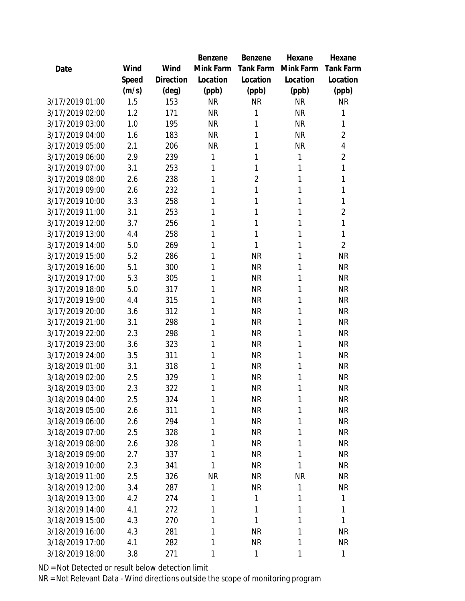|                 |       |           | Benzene   | Benzene        | Hexane       | Hexane           |
|-----------------|-------|-----------|-----------|----------------|--------------|------------------|
| Date            | Wind  | Wind      | Mink Farm | Tank Farm      | Mink Farm    | <b>Tank Farm</b> |
|                 | Speed | Direction | Location  | Location       | Location     | Location         |
|                 | (m/s) | (deg)     | (ppb)     | (ppb)          | (ppb)        | (ppb)            |
| 3/17/2019 01:00 | 1.5   | 153       | <b>NR</b> | <b>NR</b>      | <b>NR</b>    | <b>NR</b>        |
| 3/17/2019 02:00 | 1.2   | 171       | <b>NR</b> | 1              | <b>NR</b>    | 1                |
| 3/17/2019 03:00 | 1.0   | 195       | <b>NR</b> | 1              | <b>NR</b>    | 1                |
| 3/17/2019 04:00 | 1.6   | 183       | <b>NR</b> | 1              | <b>NR</b>    | $\overline{2}$   |
| 3/17/2019 05:00 | 2.1   | 206       | <b>NR</b> | 1              | <b>NR</b>    | 4                |
| 3/17/2019 06:00 | 2.9   | 239       | 1         | 1              | 1            | $\overline{2}$   |
| 3/17/2019 07:00 | 3.1   | 253       | 1         | 1              | 1            | 1                |
| 3/17/2019 08:00 | 2.6   | 238       | 1         | $\overline{2}$ | 1            | 1                |
| 3/17/2019 09:00 | 2.6   | 232       | 1         | 1              | 1            | 1                |
| 3/17/2019 10:00 | 3.3   | 258       | 1         | 1              | 1            | 1                |
| 3/17/2019 11:00 | 3.1   | 253       | 1         | 1              | 1            | $\overline{2}$   |
| 3/17/2019 12:00 | 3.7   | 256       | 1         | 1              | 1            | 1                |
| 3/17/2019 13:00 | 4.4   | 258       | 1         | 1              | 1            | 1                |
| 3/17/2019 14:00 | 5.0   | 269       | 1         | 1              | 1            | $\overline{2}$   |
| 3/17/2019 15:00 | 5.2   | 286       | 1         | <b>NR</b>      | 1            | <b>NR</b>        |
| 3/17/2019 16:00 | 5.1   | 300       | 1         | <b>NR</b>      | 1            | <b>NR</b>        |
| 3/17/2019 17:00 | 5.3   | 305       | 1         | <b>NR</b>      | 1            | <b>NR</b>        |
| 3/17/2019 18:00 | 5.0   | 317       | 1         | <b>NR</b>      | 1            | <b>NR</b>        |
| 3/17/2019 19:00 | 4.4   | 315       | 1         | <b>NR</b>      | 1            | <b>NR</b>        |
| 3/17/2019 20:00 | 3.6   | 312       | 1         | <b>NR</b>      | 1            | <b>NR</b>        |
| 3/17/2019 21:00 | 3.1   | 298       | 1         | <b>NR</b>      | 1            | <b>NR</b>        |
| 3/17/2019 22:00 | 2.3   | 298       | 1         | <b>NR</b>      | 1            | <b>NR</b>        |
| 3/17/2019 23:00 | 3.6   | 323       | 1         | <b>NR</b>      | 1            | <b>NR</b>        |
| 3/17/2019 24:00 | 3.5   | 311       | 1         | <b>NR</b>      | 1            | <b>NR</b>        |
| 3/18/2019 01:00 | 3.1   | 318       | 1         | <b>NR</b>      | 1            | <b>NR</b>        |
| 3/18/2019 02:00 | 2.5   | 329       | 1         | <b>NR</b>      | 1            | <b>NR</b>        |
| 3/18/2019 03:00 | 2.3   | 322       | 1         | <b>NR</b>      | 1            | <b>NR</b>        |
| 3/18/2019 04:00 | 2.5   | 324       | 1         | <b>NR</b>      | 1            | <b>NR</b>        |
| 3/18/2019 05:00 | 2.6   | 311       | 1         | <b>NR</b>      | 1            | <b>NR</b>        |
| 3/18/2019 06:00 | 2.6   | 294       | 1         | <b>NR</b>      | 1            | <b>NR</b>        |
| 3/18/2019 07:00 | 2.5   | 328       | 1         | <b>NR</b>      | 1            | <b>NR</b>        |
| 3/18/2019 08:00 | 2.6   | 328       | 1         | <b>NR</b>      | 1            | <b>NR</b>        |
| 3/18/2019 09:00 | 2.7   | 337       | 1         | <b>NR</b>      | 1            | <b>NR</b>        |
| 3/18/2019 10:00 | 2.3   | 341       | 1         | <b>NR</b>      | 1            | <b>NR</b>        |
| 3/18/2019 11:00 | 2.5   | 326       | <b>NR</b> | <b>NR</b>      | <b>NR</b>    | <b>NR</b>        |
| 3/18/2019 12:00 | 3.4   | 287       | 1         | <b>NR</b>      | 1            | <b>NR</b>        |
| 3/18/2019 13:00 | 4.2   | 274       | 1         | 1              | 1            | 1                |
| 3/18/2019 14:00 | 4.1   | 272       | 1         | 1              | 1            | 1                |
| 3/18/2019 15:00 | 4.3   | 270       | 1         | 1              | 1            | 1                |
| 3/18/2019 16:00 | 4.3   | 281       | 1         | <b>NR</b>      | 1            | <b>NR</b>        |
| 3/18/2019 17:00 | 4.1   | 282       | 1         | <b>NR</b>      | $\mathbf{1}$ | <b>NR</b>        |
| 3/18/2019 18:00 | 3.8   | 271       | 1         | 1              | 1            | 1                |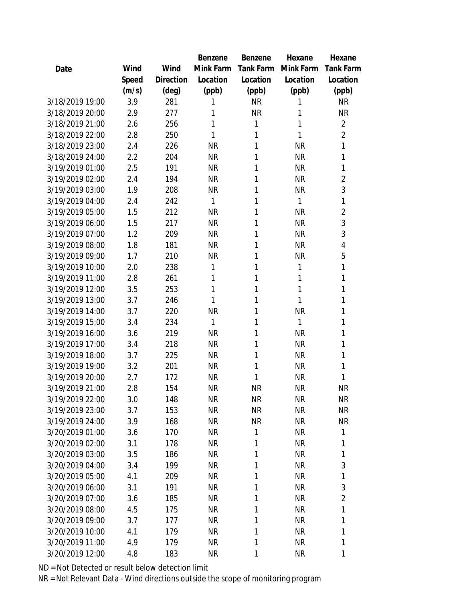|                 |       |           | Benzene      | Benzene   | Hexane       | Hexane           |
|-----------------|-------|-----------|--------------|-----------|--------------|------------------|
| Date            | Wind  | Wind      | Mink Farm    | Tank Farm | Mink Farm    | <b>Tank Farm</b> |
|                 | Speed | Direction | Location     | Location  | Location     | Location         |
|                 | (m/s) | (deg)     | (ppb)        | (ppb)     | (ppb)        | (ppb)            |
| 3/18/2019 19:00 | 3.9   | 281       | 1            | <b>NR</b> | 1            | <b>NR</b>        |
| 3/18/2019 20:00 | 2.9   | 277       | 1            | <b>NR</b> | 1            | <b>NR</b>        |
| 3/18/2019 21:00 | 2.6   | 256       | 1            | 1         | 1            | $\overline{2}$   |
| 3/18/2019 22:00 | 2.8   | 250       | 1            | 1         | 1            | $\overline{2}$   |
| 3/18/2019 23:00 | 2.4   | 226       | <b>NR</b>    | 1         | <b>NR</b>    | 1                |
| 3/18/2019 24:00 | 2.2   | 204       | <b>NR</b>    | 1         | <b>NR</b>    | 1                |
| 3/19/2019 01:00 | 2.5   | 191       | <b>NR</b>    | 1         | <b>NR</b>    | 1                |
| 3/19/2019 02:00 | 2.4   | 194       | <b>NR</b>    | 1         | <b>NR</b>    | $\overline{2}$   |
| 3/19/2019 03:00 | 1.9   | 208       | <b>NR</b>    | 1         | <b>NR</b>    | 3                |
| 3/19/2019 04:00 | 2.4   | 242       | 1            | 1         | 1            | 1                |
| 3/19/2019 05:00 | 1.5   | 212       | <b>NR</b>    | 1         | <b>NR</b>    | $\overline{2}$   |
| 3/19/2019 06:00 | 1.5   | 217       | <b>NR</b>    | 1         | <b>NR</b>    | 3                |
| 3/19/2019 07:00 | 1.2   | 209       | <b>NR</b>    | 1         | <b>NR</b>    | 3                |
| 3/19/2019 08:00 | 1.8   | 181       | <b>NR</b>    | 1         | <b>NR</b>    | 4                |
| 3/19/2019 09:00 | 1.7   | 210       | <b>NR</b>    | 1         | <b>NR</b>    | 5                |
| 3/19/2019 10:00 | 2.0   | 238       | 1            | 1         | $\mathbf{1}$ | 1                |
| 3/19/2019 11:00 | 2.8   | 261       | 1            | 1         | 1            | 1                |
| 3/19/2019 12:00 | 3.5   | 253       | 1            | 1         | 1            | 1                |
| 3/19/2019 13:00 | 3.7   | 246       | 1            | 1         | 1            | 1                |
| 3/19/2019 14:00 | 3.7   | 220       | <b>NR</b>    | 1         | <b>NR</b>    | 1                |
| 3/19/2019 15:00 | 3.4   | 234       | $\mathbf{1}$ | 1         | 1            | 1                |
| 3/19/2019 16:00 | 3.6   | 219       | <b>NR</b>    | 1         | <b>NR</b>    | 1                |
| 3/19/2019 17:00 | 3.4   | 218       | <b>NR</b>    | 1         | <b>NR</b>    | 1                |
| 3/19/2019 18:00 | 3.7   | 225       | <b>NR</b>    | 1         | <b>NR</b>    | 1                |
| 3/19/2019 19:00 | 3.2   | 201       | <b>NR</b>    | 1         | <b>NR</b>    | 1                |
| 3/19/2019 20:00 | 2.7   | 172       | <b>NR</b>    | 1         | <b>NR</b>    | 1                |
| 3/19/2019 21:00 | 2.8   | 154       | <b>NR</b>    | <b>NR</b> | <b>NR</b>    | <b>NR</b>        |
| 3/19/2019 22:00 | 3.0   | 148       | <b>NR</b>    | <b>NR</b> | NR           | NR               |
| 3/19/2019 23:00 | 3.7   | 153       | <b>NR</b>    | <b>NR</b> | <b>NR</b>    | <b>NR</b>        |
| 3/19/2019 24:00 | 3.9   | 168       | <b>NR</b>    | <b>NR</b> | <b>NR</b>    | <b>NR</b>        |
| 3/20/2019 01:00 | 3.6   | 170       | <b>NR</b>    | 1         | <b>NR</b>    | 1                |
| 3/20/2019 02:00 | 3.1   | 178       | <b>NR</b>    | 1         | <b>NR</b>    | 1                |
| 3/20/2019 03:00 | 3.5   | 186       | <b>NR</b>    | 1         | <b>NR</b>    | 1                |
| 3/20/2019 04:00 | 3.4   | 199       | <b>NR</b>    | 1         | <b>NR</b>    | 3                |
| 3/20/2019 05:00 | 4.1   | 209       | <b>NR</b>    | 1         | <b>NR</b>    | 1                |
| 3/20/2019 06:00 | 3.1   | 191       | <b>NR</b>    | 1         | <b>NR</b>    | 3                |
| 3/20/2019 07:00 | 3.6   | 185       | <b>NR</b>    | 1         | <b>NR</b>    | $\overline{2}$   |
| 3/20/2019 08:00 | 4.5   | 175       | <b>NR</b>    | 1         | <b>NR</b>    | 1                |
| 3/20/2019 09:00 | 3.7   | 177       | <b>NR</b>    | 1         | <b>NR</b>    | 1                |
| 3/20/2019 10:00 | 4.1   | 179       | <b>NR</b>    | 1         | <b>NR</b>    | 1                |
| 3/20/2019 11:00 | 4.9   | 179       | <b>NR</b>    | 1         | <b>NR</b>    | 1                |
| 3/20/2019 12:00 | 4.8   | 183       | <b>NR</b>    | 1         | <b>NR</b>    | 1                |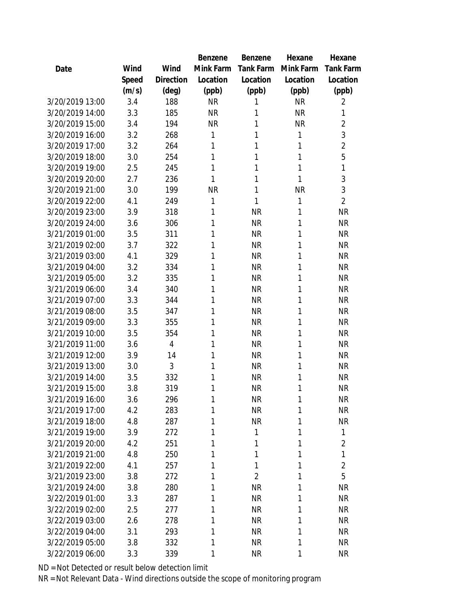|                 |       |                | Benzene   | Benzene        | Hexane    | Hexane           |
|-----------------|-------|----------------|-----------|----------------|-----------|------------------|
| Date            | Wind  | Wind           | Mink Farm | Tank Farm      | Mink Farm | <b>Tank Farm</b> |
|                 | Speed | Direction      | Location  | Location       | Location  | Location         |
|                 | (m/s) | (deg)          | (ppb)     | (ppb)          | (ppb)     | (ppb)            |
| 3/20/2019 13:00 | 3.4   | 188            | <b>NR</b> | 1              | <b>NR</b> | 2                |
| 3/20/2019 14:00 | 3.3   | 185            | <b>NR</b> | 1              | <b>NR</b> | 1                |
| 3/20/2019 15:00 | 3.4   | 194            | <b>NR</b> | 1              | <b>NR</b> | $\overline{2}$   |
| 3/20/2019 16:00 | 3.2   | 268            | 1         | 1              | 1         | 3                |
| 3/20/2019 17:00 | 3.2   | 264            | 1         | 1              | 1         | $\overline{2}$   |
| 3/20/2019 18:00 | 3.0   | 254            | 1         | 1              | 1         | 5                |
| 3/20/2019 19:00 | 2.5   | 245            | 1         | 1              | 1         | $\mathbf{1}$     |
| 3/20/2019 20:00 | 2.7   | 236            | 1         | 1              | 1         | 3                |
| 3/20/2019 21:00 | 3.0   | 199            | <b>NR</b> | 1              | <b>NR</b> | 3                |
| 3/20/2019 22:00 | 4.1   | 249            | 1         | 1              | 1         | $\overline{2}$   |
| 3/20/2019 23:00 | 3.9   | 318            | 1         | <b>NR</b>      | 1         | <b>NR</b>        |
| 3/20/2019 24:00 | 3.6   | 306            | 1         | <b>NR</b>      | 1         | <b>NR</b>        |
| 3/21/2019 01:00 | 3.5   | 311            | 1         | <b>NR</b>      | 1         | <b>NR</b>        |
| 3/21/2019 02:00 | 3.7   | 322            | 1         | <b>NR</b>      | 1         | <b>NR</b>        |
| 3/21/2019 03:00 | 4.1   | 329            | 1         | <b>NR</b>      | 1         | <b>NR</b>        |
| 3/21/2019 04:00 | 3.2   | 334            | 1         | <b>NR</b>      | 1         | <b>NR</b>        |
| 3/21/2019 05:00 | 3.2   | 335            | 1         | <b>NR</b>      | 1         | <b>NR</b>        |
| 3/21/2019 06:00 | 3.4   | 340            | 1         | <b>NR</b>      | 1         | <b>NR</b>        |
| 3/21/2019 07:00 | 3.3   | 344            | 1         | <b>NR</b>      | 1         | <b>NR</b>        |
| 3/21/2019 08:00 | 3.5   | 347            | 1         | <b>NR</b>      | 1         | <b>NR</b>        |
| 3/21/2019 09:00 | 3.3   | 355            | 1         | <b>NR</b>      | 1         | <b>NR</b>        |
| 3/21/2019 10:00 | 3.5   | 354            | 1         | <b>NR</b>      | 1         | <b>NR</b>        |
| 3/21/2019 11:00 | 3.6   | $\overline{4}$ | 1         | <b>NR</b>      | 1         | <b>NR</b>        |
| 3/21/2019 12:00 | 3.9   | 14             | 1         | <b>NR</b>      | 1         | <b>NR</b>        |
| 3/21/2019 13:00 | 3.0   | 3              | 1         | <b>NR</b>      | 1         | <b>NR</b>        |
| 3/21/2019 14:00 | 3.5   | 332            | 1         | <b>NR</b>      | 1         | <b>NR</b>        |
| 3/21/2019 15:00 | 3.8   | 319            | 1         | <b>NR</b>      | 1         | <b>NR</b>        |
| 3/21/2019 16:00 | 3.6   | 296            | 1         | <b>NR</b>      | 1         | <b>NR</b>        |
| 3/21/2019 17:00 | 4.2   | 283            | 1         | <b>NR</b>      | 1         | <b>NR</b>        |
| 3/21/2019 18:00 | 4.8   | 287            | 1         | <b>NR</b>      | 1         | <b>NR</b>        |
| 3/21/2019 19:00 | 3.9   | 272            | 1         | 1              | 1         | 1                |
| 3/21/2019 20:00 | 4.2   | 251            | 1         | 1              | 1         | $\overline{2}$   |
| 3/21/2019 21:00 | 4.8   | 250            | 1         | 1              | 1         | 1                |
| 3/21/2019 22:00 | 4.1   | 257            | 1         | 1              | 1         | $\overline{2}$   |
| 3/21/2019 23:00 | 3.8   | 272            | 1         | $\overline{2}$ | 1         | 5                |
| 3/21/2019 24:00 | 3.8   | 280            | 1         | <b>NR</b>      | 1         | <b>NR</b>        |
| 3/22/2019 01:00 | 3.3   | 287            | 1         | <b>NR</b>      | 1         | <b>NR</b>        |
| 3/22/2019 02:00 | 2.5   | 277            | 1         | <b>NR</b>      | 1         | <b>NR</b>        |
| 3/22/2019 03:00 | 2.6   | 278            | 1         | <b>NR</b>      | 1         | <b>NR</b>        |
| 3/22/2019 04:00 | 3.1   | 293            | 1         | <b>NR</b>      | 1         | <b>NR</b>        |
| 3/22/2019 05:00 | 3.8   | 332            | 1         | <b>NR</b>      | 1         | <b>NR</b>        |
| 3/22/2019 06:00 | 3.3   | 339            | 1         | <b>NR</b>      | 1         | <b>NR</b>        |